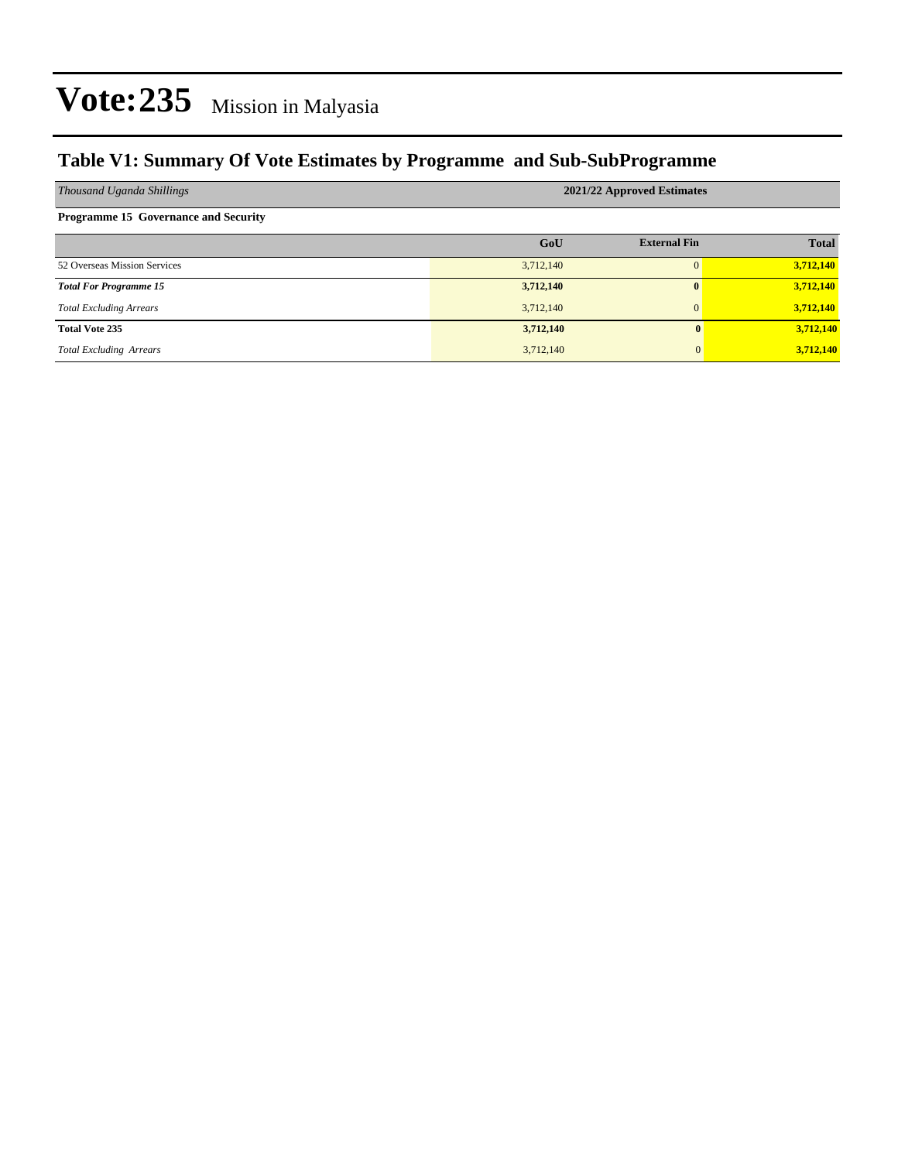### **Table V1: Summary Of Vote Estimates by Programme and Sub-SubProgramme**

| Thousand Uganda Shillings                   | 2021/22 Approved Estimates |                     |              |  |  |  |  |
|---------------------------------------------|----------------------------|---------------------|--------------|--|--|--|--|
| <b>Programme 15 Governance and Security</b> |                            |                     |              |  |  |  |  |
|                                             | GoU                        | <b>External Fin</b> | <b>Total</b> |  |  |  |  |
| 52 Overseas Mission Services                | 3,712,140                  |                     | 3,712,140    |  |  |  |  |
| <b>Total For Programme 15</b>               | 3,712,140                  | 0                   | 3,712,140    |  |  |  |  |
| <b>Total Excluding Arrears</b>              | 3,712,140                  | $\mathbf{0}$        | 3,712,140    |  |  |  |  |
| <b>Total Vote 235</b>                       | 3,712,140                  | 0                   | 3,712,140    |  |  |  |  |
| <b>Total Excluding Arrears</b>              | 3,712,140                  | $\mathbf{0}$        | 3,712,140    |  |  |  |  |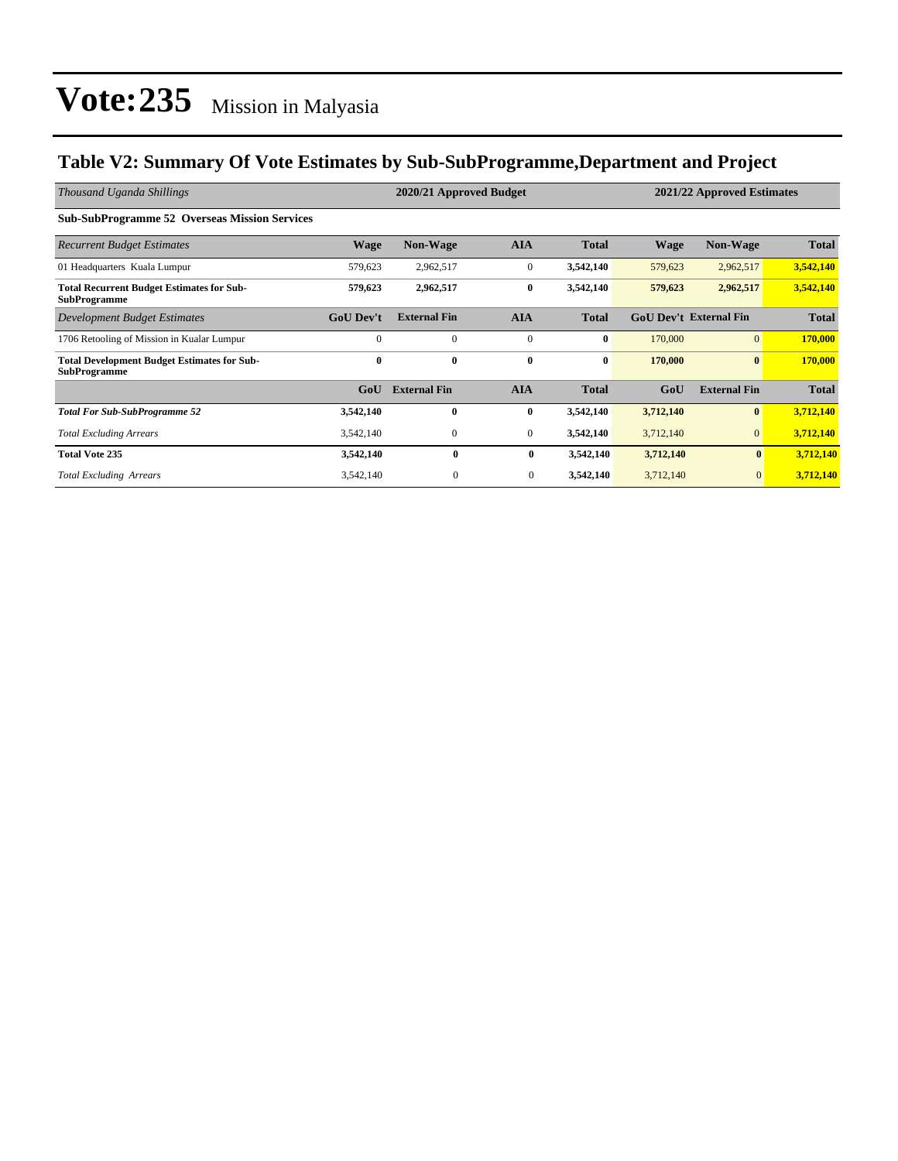### **Table V2: Summary Of Vote Estimates by Sub-SubProgramme,Department and Project**

| Thousand Uganda Shillings                                                 |                  | 2020/21 Approved Budget |                  |              | 2021/22 Approved Estimates |                               |              |
|---------------------------------------------------------------------------|------------------|-------------------------|------------------|--------------|----------------------------|-------------------------------|--------------|
| <b>Sub-SubProgramme 52 Overseas Mission Services</b>                      |                  |                         |                  |              |                            |                               |              |
| <b>Recurrent Budget Estimates</b>                                         | Wage             | <b>Non-Wage</b>         | <b>AIA</b>       | <b>Total</b> | <b>Wage</b>                | Non-Wage                      | <b>Total</b> |
| 01 Headquarters Kuala Lumpur                                              | 579,623          | 2,962,517               | $\boldsymbol{0}$ | 3,542,140    | 579,623                    | 2,962,517                     | 3,542,140    |
| <b>Total Recurrent Budget Estimates for Sub-</b><br><b>SubProgramme</b>   | 579,623          | 2,962,517               | $\bf{0}$         | 3,542,140    | 579,623                    | 2,962,517                     | 3,542,140    |
| Development Budget Estimates                                              | <b>GoU</b> Dev't | <b>External Fin</b>     | <b>AIA</b>       | <b>Total</b> |                            | <b>GoU Dev't External Fin</b> | <b>Total</b> |
| 1706 Retooling of Mission in Kualar Lumpur                                | $\Omega$         | $\mathbf{0}$            | $\mathbf{0}$     | $\bf{0}$     | 170,000                    | $\overline{0}$                | 170,000      |
| <b>Total Development Budget Estimates for Sub-</b><br><b>SubProgramme</b> | $\mathbf{0}$     | $\bf{0}$                | $\bf{0}$         | $\bf{0}$     | 170,000                    | $\bf{0}$                      | 170,000      |
|                                                                           | GoU              | <b>External Fin</b>     | <b>AIA</b>       | <b>Total</b> | GoU                        | <b>External Fin</b>           | <b>Total</b> |
| <b>Total For Sub-SubProgramme 52</b>                                      | 3,542,140        | $\mathbf{0}$            | $\bf{0}$         | 3,542,140    | 3,712,140                  | $\bf{0}$                      | 3,712,140    |
| <b>Total Excluding Arrears</b>                                            | 3,542,140        | $\mathbf{0}$            | $\mathbf{0}$     | 3,542,140    | 3,712,140                  | $\mathbf{0}$                  | 3,712,140    |
| <b>Total Vote 235</b>                                                     | 3,542,140        | $\mathbf{0}$            | $\bf{0}$         | 3,542,140    | 3,712,140                  | $\bf{0}$                      | 3,712,140    |
| <b>Total Excluding Arrears</b>                                            | 3,542,140        | $\boldsymbol{0}$        | $\overline{0}$   | 3,542,140    | 3,712,140                  | $\mathbf{0}$                  | 3,712,140    |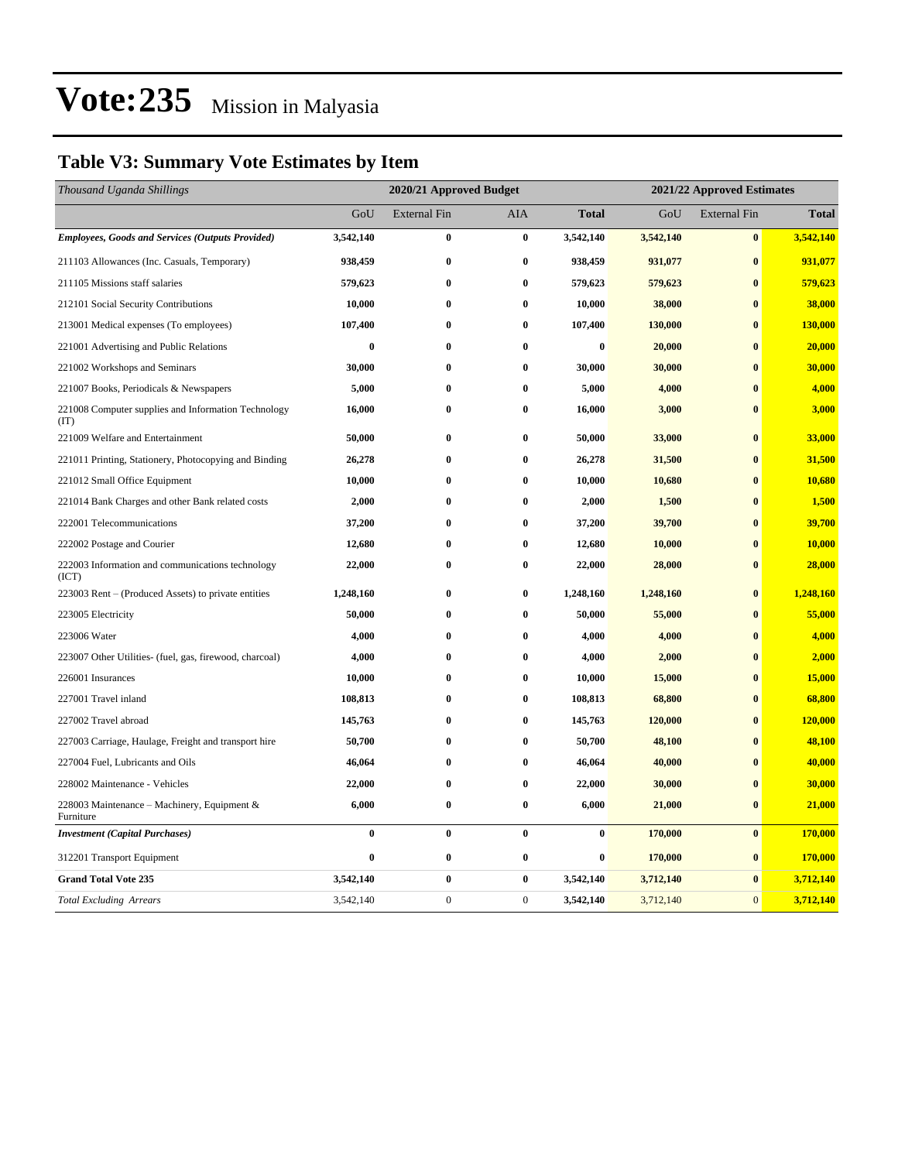## **Table V3: Summary Vote Estimates by Item**

| Thousand Uganda Shillings                                   | 2020/21 Approved Budget |                     |                  |              | 2021/22 Approved Estimates |                     |              |  |
|-------------------------------------------------------------|-------------------------|---------------------|------------------|--------------|----------------------------|---------------------|--------------|--|
|                                                             | GoU                     | <b>External Fin</b> | AIA              | <b>Total</b> | GoU                        | <b>External Fin</b> | <b>Total</b> |  |
| <b>Employees, Goods and Services (Outputs Provided)</b>     | 3,542,140               | $\bf{0}$            | $\bf{0}$         | 3,542,140    | 3,542,140                  | $\bf{0}$            | 3,542,140    |  |
| 211103 Allowances (Inc. Casuals, Temporary)                 | 938,459                 | 0                   | $\bf{0}$         | 938,459      | 931,077                    | $\bf{0}$            | 931,077      |  |
| 211105 Missions staff salaries                              | 579,623                 | $\bf{0}$            | $\bf{0}$         | 579,623      | 579,623                    | $\bf{0}$            | 579,623      |  |
| 212101 Social Security Contributions                        | 10,000                  | 0                   | $\bf{0}$         | 10,000       | 38,000                     | $\bf{0}$            | 38,000       |  |
| 213001 Medical expenses (To employees)                      | 107,400                 | 0                   | $\bf{0}$         | 107,400      | 130,000                    | $\bf{0}$            | 130,000      |  |
| 221001 Advertising and Public Relations                     | 0                       | 0                   | $\bf{0}$         | $\bf{0}$     | 20,000                     | $\bf{0}$            | 20,000       |  |
| 221002 Workshops and Seminars                               | 30,000                  | 0                   | $\bf{0}$         | 30,000       | 30,000                     | $\bf{0}$            | 30,000       |  |
| 221007 Books, Periodicals & Newspapers                      | 5,000                   | 0                   | $\bf{0}$         | 5,000        | 4,000                      | $\bf{0}$            | 4,000        |  |
| 221008 Computer supplies and Information Technology<br>(TT) | 16,000                  | 0                   | $\bf{0}$         | 16,000       | 3,000                      | $\bf{0}$            | 3,000        |  |
| 221009 Welfare and Entertainment                            | 50,000                  | 0                   | $\bf{0}$         | 50,000       | 33,000                     | $\bf{0}$            | 33,000       |  |
| 221011 Printing, Stationery, Photocopying and Binding       | 26,278                  | 0                   | $\bf{0}$         | 26,278       | 31,500                     | $\bf{0}$            | 31,500       |  |
| 221012 Small Office Equipment                               | 10,000                  | 0                   | $\bf{0}$         | 10,000       | 10,680                     | $\bf{0}$            | 10,680       |  |
| 221014 Bank Charges and other Bank related costs            | 2,000                   | 0                   | $\bf{0}$         | 2,000        | 1,500                      | $\bf{0}$            | 1,500        |  |
| 222001 Telecommunications                                   | 37,200                  | 0                   | $\bf{0}$         | 37,200       | 39,700                     | $\bf{0}$            | 39,700       |  |
| 222002 Postage and Courier                                  | 12,680                  | 0                   | $\bf{0}$         | 12,680       | 10,000                     | $\bf{0}$            | 10,000       |  |
| 222003 Information and communications technology<br>(ICT)   | 22,000                  | $\bf{0}$            | $\bf{0}$         | 22,000       | 28,000                     | $\bf{0}$            | 28,000       |  |
| 223003 Rent – (Produced Assets) to private entities         | 1,248,160               | 0                   | $\bf{0}$         | 1,248,160    | 1,248,160                  | $\bf{0}$            | 1,248,160    |  |
| 223005 Electricity                                          | 50,000                  | $\bf{0}$            | $\bf{0}$         | 50,000       | 55,000                     | $\bf{0}$            | 55,000       |  |
| 223006 Water                                                | 4,000                   | 0                   | $\bf{0}$         | 4,000        | 4,000                      | $\bf{0}$            | 4,000        |  |
| 223007 Other Utilities- (fuel, gas, firewood, charcoal)     | 4,000                   | 0                   | $\bf{0}$         | 4,000        | 2,000                      | $\bf{0}$            | 2,000        |  |
| 226001 Insurances                                           | 10,000                  | $\bf{0}$            | $\bf{0}$         | 10,000       | 15,000                     | $\bf{0}$            | 15,000       |  |
| 227001 Travel inland                                        | 108,813                 | 0                   | $\bf{0}$         | 108,813      | 68,800                     | $\bf{0}$            | 68,800       |  |
| 227002 Travel abroad                                        | 145,763                 | 0                   | $\bf{0}$         | 145,763      | 120,000                    | $\bf{0}$            | 120,000      |  |
| 227003 Carriage, Haulage, Freight and transport hire        | 50,700                  | 0                   | $\bf{0}$         | 50,700       | 48,100                     | $\bf{0}$            | 48,100       |  |
| 227004 Fuel, Lubricants and Oils                            | 46,064                  | 0                   | $\bf{0}$         | 46,064       | 40,000                     | $\bf{0}$            | 40,000       |  |
| 228002 Maintenance - Vehicles                               | 22,000                  | $\bf{0}$            | $\bf{0}$         | 22,000       | 30,000                     | $\bf{0}$            | 30,000       |  |
| 228003 Maintenance - Machinery, Equipment &<br>Furniture    | 6,000                   | $\bf{0}$            | $\bf{0}$         | 6,000        | 21,000                     | $\bf{0}$            | 21,000       |  |
| <b>Investment</b> (Capital Purchases)                       | $\bf{0}$                | $\bf{0}$            | $\bf{0}$         | $\bf{0}$     | 170,000                    | $\bf{0}$            | 170,000      |  |
| 312201 Transport Equipment                                  | $\bf{0}$                | $\bf{0}$            | $\bf{0}$         | $\bf{0}$     | 170,000                    | $\bf{0}$            | 170,000      |  |
| <b>Grand Total Vote 235</b>                                 | 3,542,140               | $\bf{0}$            | $\bf{0}$         | 3,542,140    | 3,712,140                  | $\bf{0}$            | 3,712,140    |  |
| <b>Total Excluding Arrears</b>                              | 3,542,140               | $\boldsymbol{0}$    | $\boldsymbol{0}$ | 3,542,140    | 3,712,140                  | $\mathbf{0}$        | 3,712,140    |  |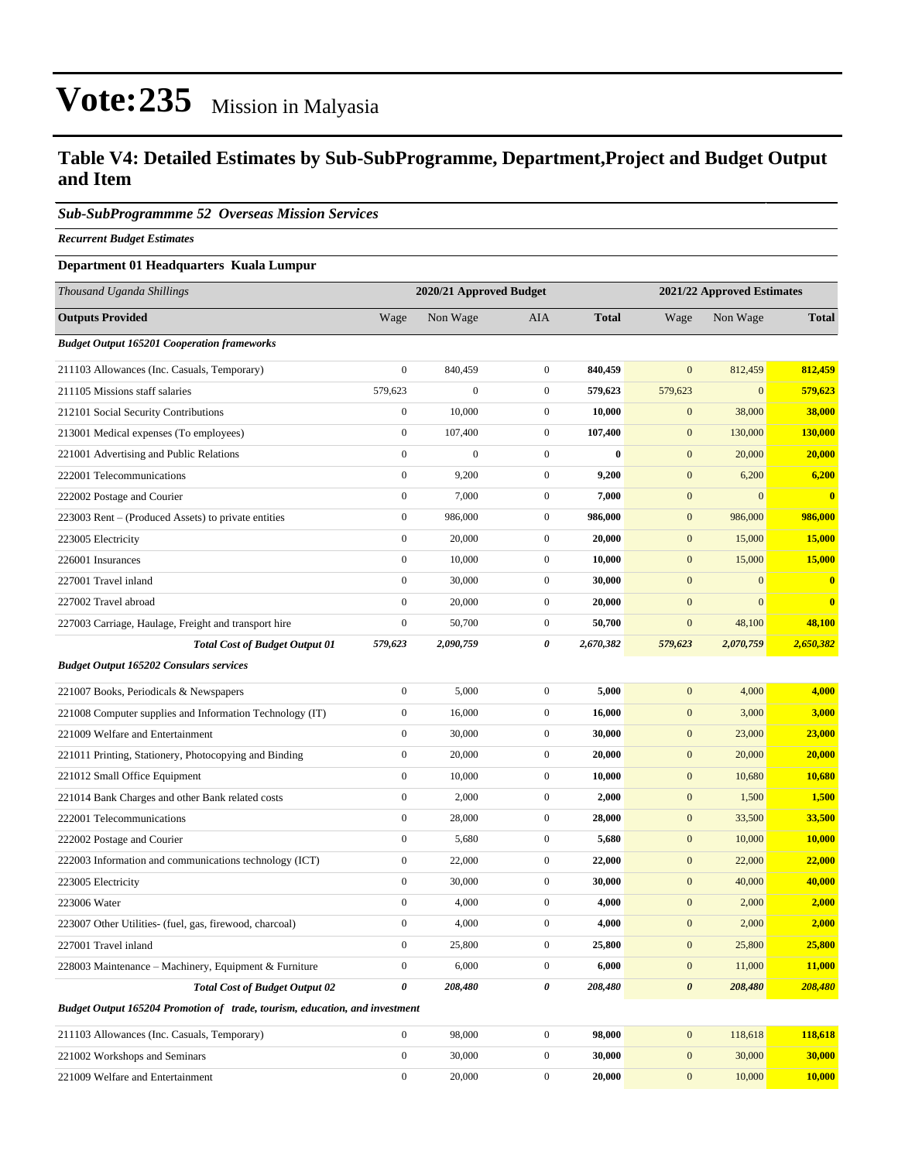#### **Table V4: Detailed Estimates by Sub-SubProgramme, Department,Project and Budget Output and Item**

#### *Sub-SubProgrammme 52 Overseas Mission Services*

*Recurrent Budget Estimates*

#### **Department 01 Headquarters Kuala Lumpur**

| Thousand Uganda Shillings                                                   | 2020/21 Approved Budget |                  |                  | 2021/22 Approved Estimates |                       |                  |               |
|-----------------------------------------------------------------------------|-------------------------|------------------|------------------|----------------------------|-----------------------|------------------|---------------|
| <b>Outputs Provided</b>                                                     | Wage                    | Non Wage         | <b>AIA</b>       | <b>Total</b>               | Wage                  | Non Wage         | <b>Total</b>  |
| <b>Budget Output 165201 Cooperation frameworks</b>                          |                         |                  |                  |                            |                       |                  |               |
| 211103 Allowances (Inc. Casuals, Temporary)                                 | $\boldsymbol{0}$        | 840,459          | $\overline{0}$   | 840,459                    | $\mathbf{0}$          | 812,459          | 812,459       |
| 211105 Missions staff salaries                                              | 579,623                 | $\boldsymbol{0}$ | $\mathbf{0}$     | 579,623                    | 579,623               | $\boldsymbol{0}$ | 579,623       |
| 212101 Social Security Contributions                                        | $\boldsymbol{0}$        | 10,000           | $\mathbf{0}$     | 10,000                     | $\mathbf{0}$          | 38,000           | 38,000        |
| 213001 Medical expenses (To employees)                                      | $\boldsymbol{0}$        | 107,400          | $\mathbf{0}$     | 107,400                    | $\mathbf{0}$          | 130,000          | 130,000       |
| 221001 Advertising and Public Relations                                     | $\mathbf{0}$            | $\boldsymbol{0}$ | $\mathbf{0}$     | $\bf{0}$                   | $\mathbf{0}$          | 20,000           | 20,000        |
| 222001 Telecommunications                                                   | $\boldsymbol{0}$        | 9,200            | $\mathbf{0}$     | 9,200                      | $\mathbf{0}$          | 6,200            | 6,200         |
| 222002 Postage and Courier                                                  | $\boldsymbol{0}$        | 7,000            | $\mathbf{0}$     | 7,000                      | $\mathbf{0}$          | $\overline{0}$   | $\bf{0}$      |
| 223003 Rent - (Produced Assets) to private entities                         | $\boldsymbol{0}$        | 986,000          | $\mathbf{0}$     | 986,000                    | $\mathbf{0}$          | 986,000          | 986,000       |
| 223005 Electricity                                                          | $\boldsymbol{0}$        | 20,000           | $\overline{0}$   | 20,000                     | $\boldsymbol{0}$      | 15,000           | <b>15,000</b> |
| 226001 Insurances                                                           | $\mathbf{0}$            | 10,000           | $\mathbf{0}$     | 10,000                     | $\mathbf{0}$          | 15,000           | 15,000        |
| 227001 Travel inland                                                        | $\boldsymbol{0}$        | 30,000           | $\mathbf{0}$     | 30,000                     | $\boldsymbol{0}$      | $\mathbf{0}$     | $\bf{0}$      |
| 227002 Travel abroad                                                        | $\mathbf{0}$            | 20,000           | $\mathbf{0}$     | 20,000                     | $\mathbf{0}$          | $\overline{0}$   | $\bf{0}$      |
| 227003 Carriage, Haulage, Freight and transport hire                        | $\boldsymbol{0}$        | 50,700           | $\mathbf{0}$     | 50,700                     | $\boldsymbol{0}$      | 48,100           | 48,100        |
| <b>Total Cost of Budget Output 01</b>                                       | 579,623                 | 2,090,759        | 0                | 2,670,382                  | 579,623               | 2,070,759        | 2,650,382     |
| <b>Budget Output 165202 Consulars services</b>                              |                         |                  |                  |                            |                       |                  |               |
| 221007 Books, Periodicals & Newspapers                                      | $\mathbf{0}$            | 5,000            | $\mathbf{0}$     | 5,000                      | $\mathbf{0}$          | 4,000            | 4,000         |
| 221008 Computer supplies and Information Technology (IT)                    | $\boldsymbol{0}$        | 16,000           | $\mathbf{0}$     | 16,000                     | $\mathbf{0}$          | 3,000            | 3,000         |
| 221009 Welfare and Entertainment                                            | $\boldsymbol{0}$        | 30,000           | $\boldsymbol{0}$ | 30,000                     | $\mathbf{0}$          | 23,000           | 23,000        |
| 221011 Printing, Stationery, Photocopying and Binding                       | $\boldsymbol{0}$        | 20,000           | $\mathbf{0}$     | 20,000                     | $\mathbf{0}$          | 20,000           | 20,000        |
| 221012 Small Office Equipment                                               | $\boldsymbol{0}$        | 10,000           | $\overline{0}$   | 10,000                     | $\mathbf{0}$          | 10,680           | 10,680        |
| 221014 Bank Charges and other Bank related costs                            | $\mathbf{0}$            | 2,000            | $\mathbf{0}$     | 2,000                      | $\mathbf{0}$          | 1,500            | 1,500         |
| 222001 Telecommunications                                                   | $\boldsymbol{0}$        | 28,000           | $\mathbf{0}$     | 28,000                     | $\mathbf{0}$          | 33,500           | 33,500        |
| 222002 Postage and Courier                                                  | $\boldsymbol{0}$        | 5,680            | $\boldsymbol{0}$ | 5,680                      | $\mathbf{0}$          | 10,000           | 10,000        |
| 222003 Information and communications technology (ICT)                      | $\boldsymbol{0}$        | 22,000           | $\mathbf{0}$     | 22,000                     | $\mathbf{0}$          | 22,000           | 22,000        |
| 223005 Electricity                                                          | $\boldsymbol{0}$        | 30,000           | $\mathbf{0}$     | 30,000                     | $\boldsymbol{0}$      | 40,000           | 40,000        |
| 223006 Water                                                                | $\mathbf{0}$            | 4,000            | $\boldsymbol{0}$ | 4,000                      | $\mathbf{0}$          | 2,000            | 2,000         |
| 223007 Other Utilities- (fuel, gas, firewood, charcoal)                     | $\boldsymbol{0}$        | 4,000            | $\mathbf{0}$     | 4,000                      | $\mathbf{0}$          | 2,000            | 2,000         |
| 227001 Travel inland                                                        | $\boldsymbol{0}$        | 25,800           | $\boldsymbol{0}$ | 25,800                     | $\mathbf{0}$          | 25,800           | 25,800        |
| 228003 Maintenance – Machinery, Equipment & Furniture                       | $\boldsymbol{0}$        | 6,000            | $\mathbf{0}$     | 6,000                      | $\mathbf{0}$          | 11,000           | 11,000        |
| <b>Total Cost of Budget Output 02</b>                                       | $\boldsymbol{\theta}$   | 208,480          | 0                | 208,480                    | $\boldsymbol{\theta}$ | 208,480          | 208,480       |
| Budget Output 165204 Promotion of trade, tourism, education, and investment |                         |                  |                  |                            |                       |                  |               |
| 211103 Allowances (Inc. Casuals, Temporary)                                 | $\boldsymbol{0}$        | 98,000           | $\boldsymbol{0}$ | 98,000                     | $\mathbf{0}$          | 118,618          | 118,618       |
| 221002 Workshops and Seminars                                               | $\boldsymbol{0}$        | 30,000           | $\boldsymbol{0}$ | 30,000                     | $\mathbf{0}$          | 30,000           | 30,000        |
| 221009 Welfare and Entertainment                                            | $\boldsymbol{0}$        | 20,000           | $\boldsymbol{0}$ | 20,000                     | $\boldsymbol{0}$      | 10,000           | <b>10,000</b> |